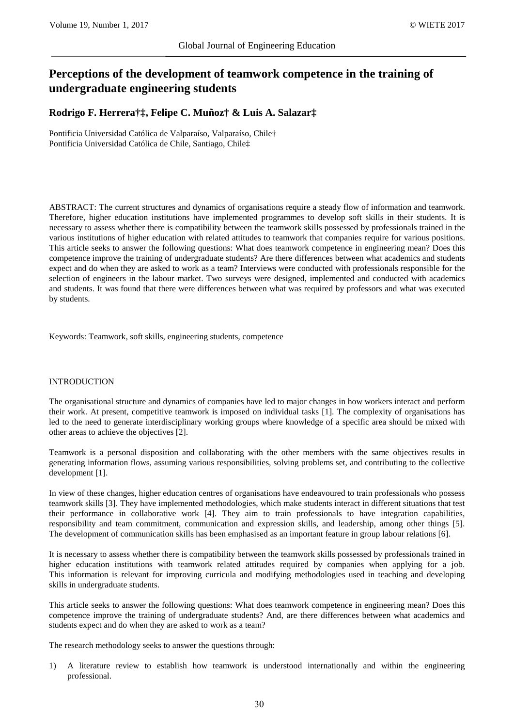# **Perceptions of the development of teamwork competence in the training of undergraduate engineering students**

**Rodrigo F. Herrera†‡, Felipe C. Muñoz† & Luis A. Salazar‡** 

Pontificia Universidad Católica de Valparaíso, Valparaíso, Chile† Pontificia Universidad Católica de Chile, Santiago, Chile‡

ABSTRACT: The current structures and dynamics of organisations require a steady flow of information and teamwork. Therefore, higher education institutions have implemented programmes to develop soft skills in their students. It is necessary to assess whether there is compatibility between the teamwork skills possessed by professionals trained in the various institutions of higher education with related attitudes to teamwork that companies require for various positions. This article seeks to answer the following questions: What does teamwork competence in engineering mean? Does this competence improve the training of undergraduate students? Are there differences between what academics and students expect and do when they are asked to work as a team? Interviews were conducted with professionals responsible for the selection of engineers in the labour market. Two surveys were designed, implemented and conducted with academics and students. It was found that there were differences between what was required by professors and what was executed by students.

Keywords: Teamwork, soft skills, engineering students, competence

## INTRODUCTION

The organisational structure and dynamics of companies have led to major changes in how workers interact and perform their work. At present, competitive teamwork is imposed on individual tasks [1]. The complexity of organisations has led to the need to generate interdisciplinary working groups where knowledge of a specific area should be mixed with other areas to achieve the objectives [2].

Teamwork is a personal disposition and collaborating with the other members with the same objectives results in generating information flows, assuming various responsibilities, solving problems set, and contributing to the collective development [1].

In view of these changes, higher education centres of organisations have endeavoured to train professionals who possess teamwork skills [3]. They have implemented methodologies, which make students interact in different situations that test their performance in collaborative work [4]. They aim to train professionals to have integration capabilities, responsibility and team commitment, communication and expression skills, and leadership, among other things [5]. The development of communication skills has been emphasised as an important feature in group labour relations [6].

It is necessary to assess whether there is compatibility between the teamwork skills possessed by professionals trained in higher education institutions with teamwork related attitudes required by companies when applying for a job. This information is relevant for improving curricula and modifying methodologies used in teaching and developing skills in undergraduate students.

This article seeks to answer the following questions: What does teamwork competence in engineering mean? Does this competence improve the training of undergraduate students? And, are there differences between what academics and students expect and do when they are asked to work as a team?

The research methodology seeks to answer the questions through:

1) A literature review to establish how teamwork is understood internationally and within the engineering professional.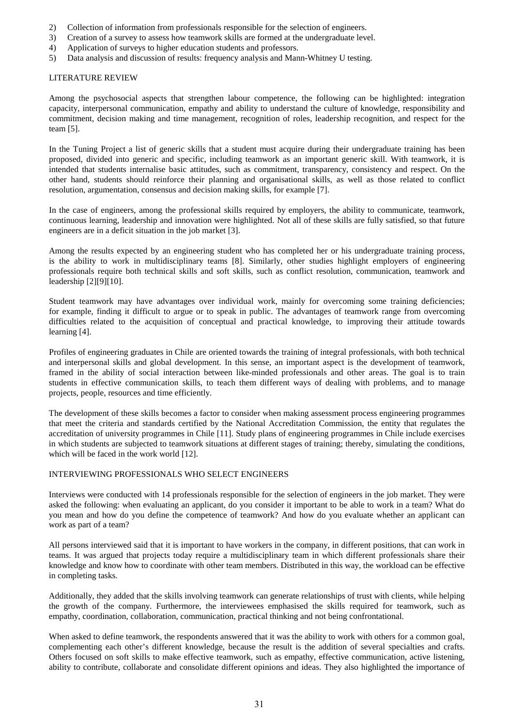- 2) Collection of information from professionals responsible for the selection of engineers.
- 3) Creation of a survey to assess how teamwork skills are formed at the undergraduate level.
- 4) Application of surveys to higher education students and professors.
- 5) Data analysis and discussion of results: frequency analysis and Mann-Whitney U testing.

# LITERATURE REVIEW

Among the psychosocial aspects that strengthen labour competence, the following can be highlighted: integration capacity, interpersonal communication, empathy and ability to understand the culture of knowledge, responsibility and commitment, decision making and time management, recognition of roles, leadership recognition, and respect for the team [5].

In the Tuning Project a list of generic skills that a student must acquire during their undergraduate training has been proposed, divided into generic and specific, including teamwork as an important generic skill. With teamwork, it is intended that students internalise basic attitudes, such as commitment, transparency, consistency and respect. On the other hand, students should reinforce their planning and organisational skills, as well as those related to conflict resolution, argumentation, consensus and decision making skills, for example [7].

In the case of engineers, among the professional skills required by employers, the ability to communicate, teamwork, continuous learning, leadership and innovation were highlighted. Not all of these skills are fully satisfied, so that future engineers are in a deficit situation in the job market [3].

Among the results expected by an engineering student who has completed her or his undergraduate training process, is the ability to work in multidisciplinary teams [8]. Similarly, other studies highlight employers of engineering professionals require both technical skills and soft skills, such as conflict resolution, communication, teamwork and leadership [2][9][10].

Student teamwork may have advantages over individual work, mainly for overcoming some training deficiencies; for example, finding it difficult to argue or to speak in public. The advantages of teamwork range from overcoming difficulties related to the acquisition of conceptual and practical knowledge, to improving their attitude towards learning [4].

Profiles of engineering graduates in Chile are oriented towards the training of integral professionals, with both technical and interpersonal skills and global development. In this sense, an important aspect is the development of teamwork, framed in the ability of social interaction between like-minded professionals and other areas. The goal is to train students in effective communication skills, to teach them different ways of dealing with problems, and to manage projects, people, resources and time efficiently.

The development of these skills becomes a factor to consider when making assessment process engineering programmes that meet the criteria and standards certified by the National Accreditation Commission, the entity that regulates the accreditation of university programmes in Chile [11]. Study plans of engineering programmes in Chile include exercises in which students are subjected to teamwork situations at different stages of training; thereby, simulating the conditions, which will be faced in the work world [12].

# INTERVIEWING PROFESSIONALS WHO SELECT ENGINEERS

Interviews were conducted with 14 professionals responsible for the selection of engineers in the job market. They were asked the following: when evaluating an applicant, do you consider it important to be able to work in a team? What do you mean and how do you define the competence of teamwork? And how do you evaluate whether an applicant can work as part of a team?

All persons interviewed said that it is important to have workers in the company, in different positions, that can work in teams. It was argued that projects today require a multidisciplinary team in which different professionals share their knowledge and know how to coordinate with other team members. Distributed in this way, the workload can be effective in completing tasks.

Additionally, they added that the skills involving teamwork can generate relationships of trust with clients, while helping the growth of the company. Furthermore, the interviewees emphasised the skills required for teamwork, such as empathy, coordination, collaboration, communication, practical thinking and not being confrontational.

When asked to define teamwork, the respondents answered that it was the ability to work with others for a common goal, complementing each other's different knowledge, because the result is the addition of several specialties and crafts. Others focused on soft skills to make effective teamwork, such as empathy, effective communication, active listening, ability to contribute, collaborate and consolidate different opinions and ideas. They also highlighted the importance of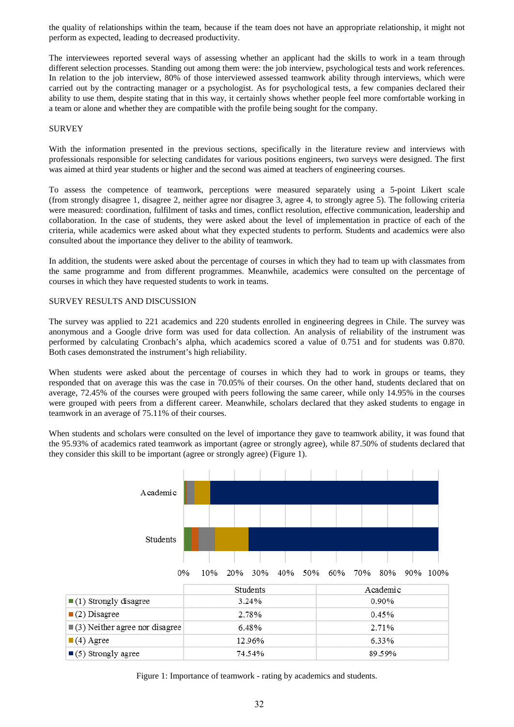the quality of relationships within the team, because if the team does not have an appropriate relationship, it might not perform as expected, leading to decreased productivity.

The interviewees reported several ways of assessing whether an applicant had the skills to work in a team through different selection processes. Standing out among them were: the job interview, psychological tests and work references. In relation to the job interview, 80% of those interviewed assessed teamwork ability through interviews, which were carried out by the contracting manager or a psychologist. As for psychological tests, a few companies declared their ability to use them, despite stating that in this way, it certainly shows whether people feel more comfortable working in a team or alone and whether they are compatible with the profile being sought for the company.

## **SURVEY**

With the information presented in the previous sections, specifically in the literature review and interviews with professionals responsible for selecting candidates for various positions engineers, two surveys were designed. The first was aimed at third year students or higher and the second was aimed at teachers of engineering courses.

To assess the competence of teamwork, perceptions were measured separately using a 5-point Likert scale (from strongly disagree 1, disagree 2, neither agree nor disagree 3, agree 4, to strongly agree 5). The following criteria were measured: coordination, fulfilment of tasks and times, conflict resolution, effective communication, leadership and collaboration. In the case of students, they were asked about the level of implementation in practice of each of the criteria, while academics were asked about what they expected students to perform. Students and academics were also consulted about the importance they deliver to the ability of teamwork.

In addition, the students were asked about the percentage of courses in which they had to team up with classmates from the same programme and from different programmes. Meanwhile, academics were consulted on the percentage of courses in which they have requested students to work in teams.

# SURVEY RESULTS AND DISCUSSION

The survey was applied to 221 academics and 220 students enrolled in engineering degrees in Chile. The survey was anonymous and a Google drive form was used for data collection. An analysis of reliability of the instrument was performed by calculating Cronbach's alpha, which academics scored a value of 0.751 and for students was 0.870. Both cases demonstrated the instrument's high reliability.

When students were asked about the percentage of courses in which they had to work in groups or teams, they responded that on average this was the case in 70.05% of their courses. On the other hand, students declared that on average, 72.45% of the courses were grouped with peers following the same career, while only 14.95% in the courses were grouped with peers from a different career. Meanwhile, scholars declared that they asked students to engage in teamwork in an average of 75.11% of their courses.

When students and scholars were consulted on the level of importance they gave to teamwork ability, it was found that the 95.93% of academics rated teamwork as important (agree or strongly agree), while 87.50% of students declared that they consider this skill to be important (agree or strongly agree) (Figure 1).



Figure 1: Importance of teamwork - rating by academics and students.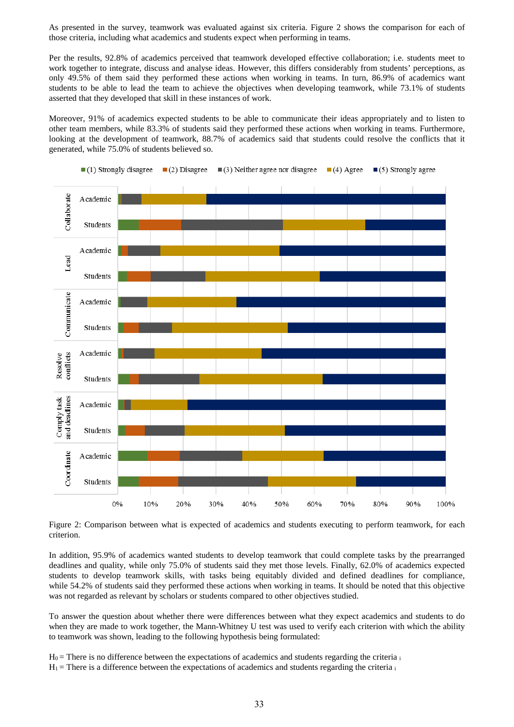As presented in the survey, teamwork was evaluated against six criteria. Figure 2 shows the comparison for each of those criteria, including what academics and students expect when performing in teams.

Per the results, 92.8% of academics perceived that teamwork developed effective collaboration; i.e. students meet to work together to integrate, discuss and analyse ideas. However, this differs considerably from students' perceptions, as only 49.5% of them said they performed these actions when working in teams. In turn, 86.9% of academics want students to be able to lead the team to achieve the objectives when developing teamwork, while 73.1% of students asserted that they developed that skill in these instances of work.

Moreover, 91% of academics expected students to be able to communicate their ideas appropriately and to listen to other team members, while 83.3% of students said they performed these actions when working in teams. Furthermore, looking at the development of teamwork, 88.7% of academics said that students could resolve the conflicts that it generated, while 75.0% of students believed so.



Figure 2: Comparison between what is expected of academics and students executing to perform teamwork, for each criterion.

In addition, 95.9% of academics wanted students to develop teamwork that could complete tasks by the prearranged deadlines and quality, while only 75.0% of students said they met those levels. Finally, 62.0% of academics expected students to develop teamwork skills, with tasks being equitably divided and defined deadlines for compliance, while 54.2% of students said they performed these actions when working in teams. It should be noted that this objective was not regarded as relevant by scholars or students compared to other objectives studied.

To answer the question about whether there were differences between what they expect academics and students to do when they are made to work together, the Mann-Whitney U test was used to verify each criterion with which the ability to teamwork was shown, leading to the following hypothesis being formulated:

 $H_0$  = There is no difference between the expectations of academics and students regarding the criteria is

 $H_1$  = There is a difference between the expectations of academics and students regarding the criteria  $\mathrm{i}$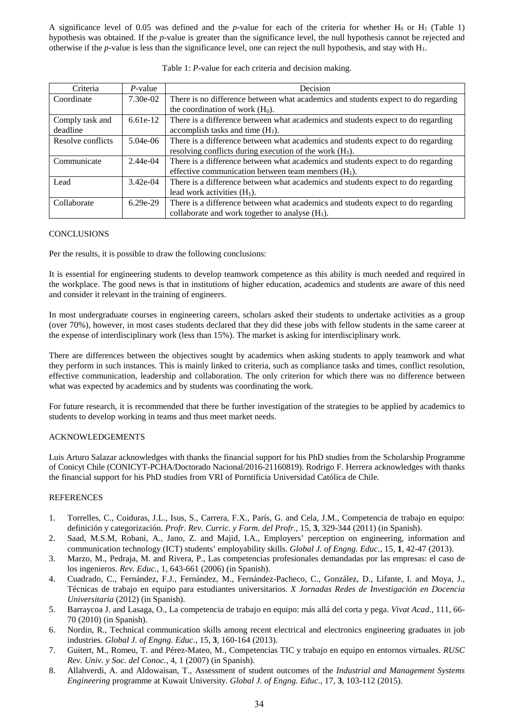A significance level of 0.05 was defined and the *p*-value for each of the criteria for whether  $H_0$  or  $H_1$  (Table 1) hypothesis was obtained. If the *p*-value is greater than the significance level, the null hypothesis cannot be rejected and otherwise if the *p*-value is less than the significance level, one can reject the null hypothesis, and stay with H<sub>1</sub>.

| Criteria          | $P$ -value | Decision                                                                          |
|-------------------|------------|-----------------------------------------------------------------------------------|
| Coordinate        | $7.30e-02$ | There is no difference between what academics and students expect to do regarding |
|                   |            | the coordination of work $(H0)$ .                                                 |
| Comply task and   | $6.61e-12$ | There is a difference between what academics and students expect to do regarding  |
| deadline          |            | accomplish tasks and time $(H_1)$ .                                               |
| Resolve conflicts | $5.04e-06$ | There is a difference between what academics and students expect to do regarding  |
|                   |            | resolving conflicts during execution of the work $(H_1)$ .                        |
| Communicate       | $2.44e-04$ | There is a difference between what academics and students expect to do regarding  |
|                   |            | effective communication between team members $(H_1)$ .                            |
| Lead              | $3.42e-04$ | There is a difference between what academics and students expect to do regarding  |
|                   |            | lead work activities $(H_1)$ .                                                    |
| Collaborate       | $6.29e-29$ | There is a difference between what academics and students expect to do regarding  |
|                   |            | collaborate and work together to analyse $(H_1)$ .                                |

#### Table 1: *P*-value for each criteria and decision making.

# **CONCLUSIONS**

Per the results, it is possible to draw the following conclusions:

It is essential for engineering students to develop teamwork competence as this ability is much needed and required in the workplace. The good news is that in institutions of higher education, academics and students are aware of this need and consider it relevant in the training of engineers.

In most undergraduate courses in engineering careers, scholars asked their students to undertake activities as a group (over 70%), however, in most cases students declared that they did these jobs with fellow students in the same career at the expense of interdisciplinary work (less than 15%). The market is asking for interdisciplinary work.

There are differences between the objectives sought by academics when asking students to apply teamwork and what they perform in such instances. This is mainly linked to criteria, such as compliance tasks and times, conflict resolution, effective communication, leadership and collaboration. The only criterion for which there was no difference between what was expected by academics and by students was coordinating the work.

For future research, it is recommended that there be further investigation of the strategies to be applied by academics to students to develop working in teams and thus meet market needs.

# ACKNOWLEDGEMENTS

Luis Arturo Salazar acknowledges with thanks the financial support for his PhD studies from the Scholarship Programme of Conicyt Chile (CONICYT-PCHA/Doctorado Nacional/2016-21160819). Rodrigo F. Herrera acknowledges with thanks the financial support for his PhD studies from VRI of Porntificia Universidad Católica de Chile.

# REFERENCES

- 1. Torrelles, C., Coiduras, J.L., Isus, S., Carrera, F.X., París, G. and Cela, J.M., Competencia de trabajo en equipo: definición y categorización. *Profr. Rev. Curric. y Form. del Profr.*, 15, **3**, 329-344 (2011) (in Spanish).
- 2. Saad, M.S.M, Robani, A., Jano, Z. and Majid, I.A., Employers' perception on engineering, information and communication technology (ICT) students' employability skills. *Global J. of Engng. Educ.*, 15, **1**, 42-47 (2013).
- 3. Marzo, M., Pedraja, M. and Rivera, P., Las competencias profesionales demandadas por las empresas: el caso de los ingenieros. *Rev. Educ.*, 1, 643-661 (2006) (in Spanish).
- 4. Cuadrado, C., Fernández, F.J., Fernández, M., Fernández-Pacheco, C., González, D., Lifante, I. and Moya, J., Técnicas de trabajo en equipo para estudiantes universitarios. *X Jornadas Redes de Investigación en Docencia Universitaria* (2012) (in Spanish).
- 5. Barraycoa J. and Lasaga, O., La competencia de trabajo en equipo: más allá del corta y pega. *Vivat Acad*., 111, 66- 70 (2010) (in Spanish).
- 6. Nordin, R., Technical communication skills among recent electrical and electronics engineering graduates in job industries. *Global J. of Engng. Educ.*, 15, **3**, 160-164 (2013).
- 7. Guitert, M., Romeu, T. and Pérez-Mateo, M., Competencias TIC y trabajo en equipo en entornos virtuales. *RUSC Rev. Univ. y Soc. del Conoc.*, 4, 1 (2007) (in Spanish).
- 8. Allahverdi, A. and Aldowaisan, T., Assessment of student outcomes of the *Industrial and Management Systems Engineering* programme at Kuwait University. *Global J. of Engng. Educ*., 17, **3**, 103-112 (2015).